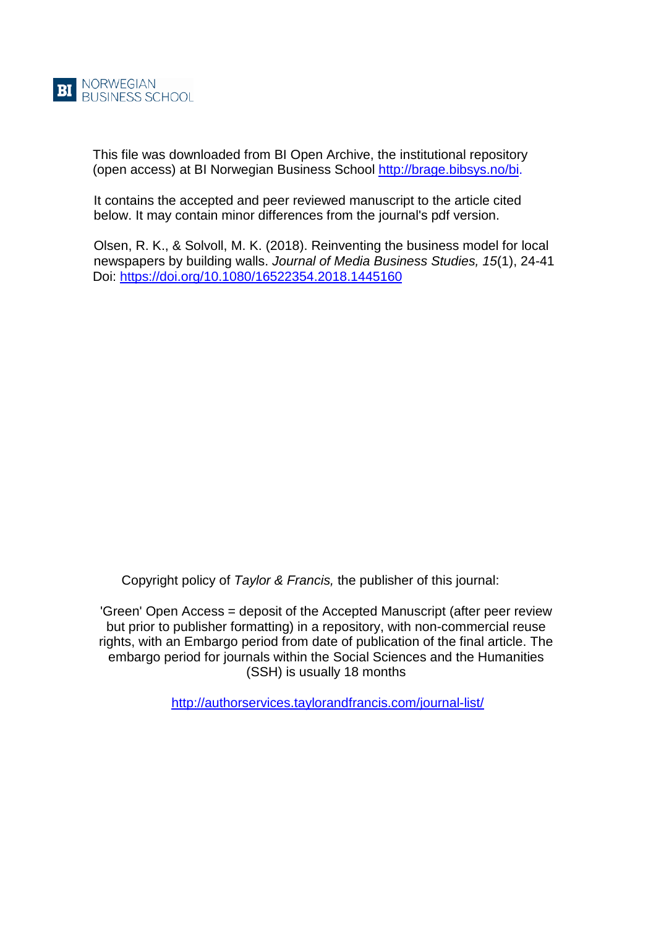This file was downloaded from BI Open Archive, the institutional repository (open access) at BI Norwegian Business School [http://brage.bibsys.no/bi.](http://brage.bibsys.no/bi)

It contains the accepted and peer reviewed manuscript to the article cited below. It may contain minor differences from the journal's pdf version.

Olsen, R. K., & Solvoll, M. K. (2018). Reinventing the business model for local newspapers by building walls. *Journal of Media Business Studies, 15*(1), 24-41 Doi:<https://doi.org/10.1080/16522354.2018.1445160>

Copyright policy of *Taylor & Francis,* the publisher of this journal:

'Green' Open Access = deposit of the Accepted Manuscript (after peer review but prior to publisher formatting) in a repository, with non-commercial reuse rights, with an Embargo period from date of publication of the final article. The embargo period for journals within the Social Sciences and the Humanities (SSH) is usually 18 months

<http://authorservices.taylorandfrancis.com/journal-list/>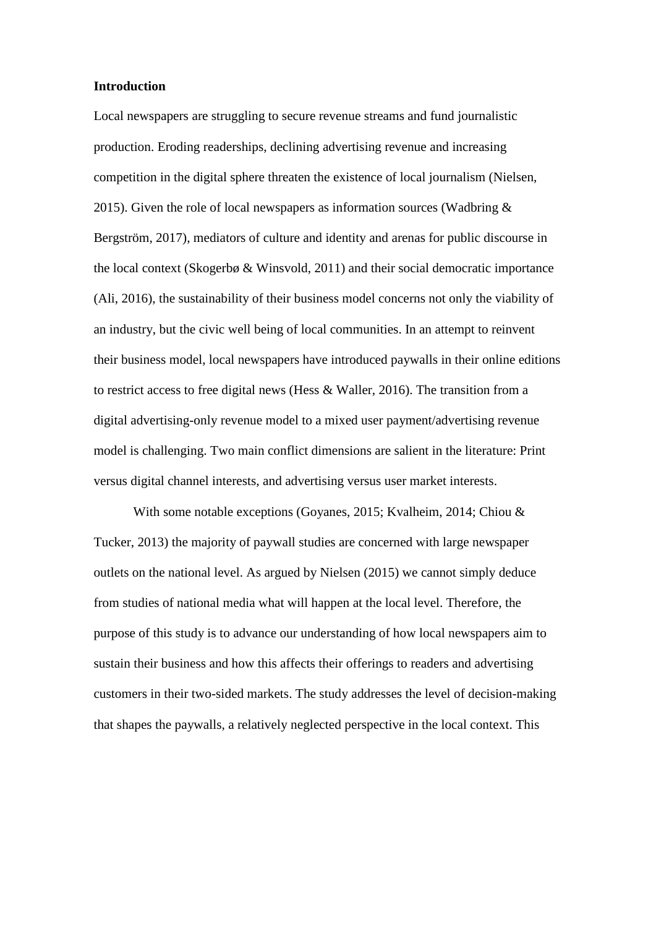#### **Introduction**

Local newspapers are struggling to secure revenue streams and fund journalistic production. Eroding readerships, declining advertising revenue and increasing competition in the digital sphere threaten the existence of local journalism (Nielsen, 2015). Given the role of local newspapers as information sources (Wadbring  $\&$ Bergström, 2017), mediators of culture and identity and arenas for public discourse in the local context (Skogerbø & Winsvold, 2011) and their social democratic importance (Ali, 2016), the sustainability of their business model concerns not only the viability of an industry, but the civic well being of local communities. In an attempt to reinvent their business model, local newspapers have introduced paywalls in their online editions to restrict access to free digital news (Hess & Waller, 2016). The transition from a digital advertising-only revenue model to a mixed user payment/advertising revenue model is challenging. Two main conflict dimensions are salient in the literature: Print versus digital channel interests, and advertising versus user market interests.

With some notable exceptions (Goyanes, 2015; Kvalheim, 2014; Chiou & Tucker, 2013) the majority of paywall studies are concerned with large newspaper outlets on the national level. As argued by Nielsen (2015) we cannot simply deduce from studies of national media what will happen at the local level. Therefore, the purpose of this study is to advance our understanding of how local newspapers aim to sustain their business and how this affects their offerings to readers and advertising customers in their two-sided markets. The study addresses the level of decision-making that shapes the paywalls, a relatively neglected perspective in the local context. This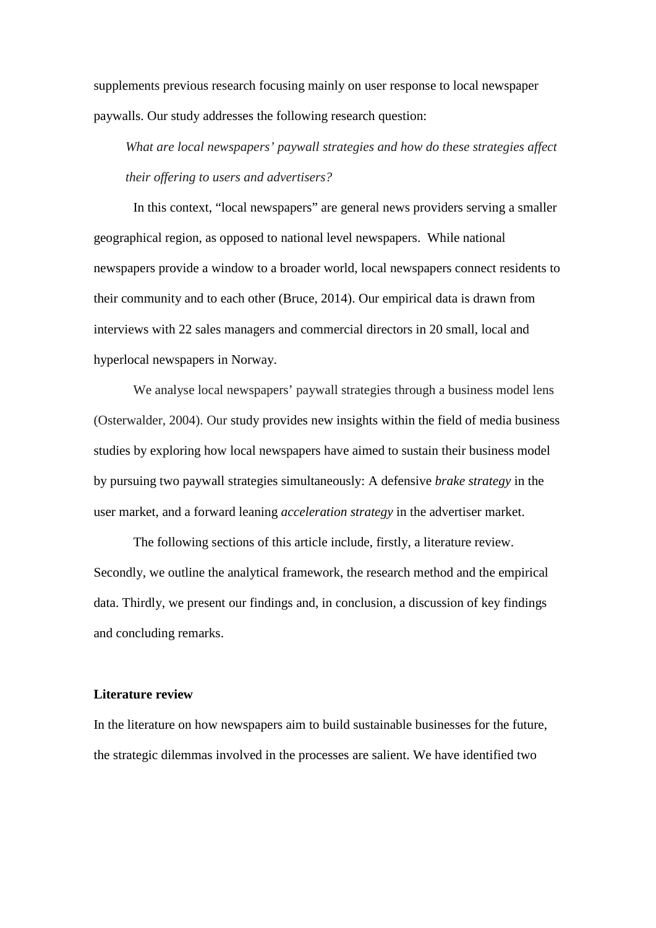supplements previous research focusing mainly on user response to local newspaper paywalls. Our study addresses the following research question:

*What are local newspapers' paywall strategies and how do these strategies affect their offering to users and advertisers?*

In this context, "local newspapers" are general news providers serving a smaller geographical region, as opposed to national level newspapers. While national newspapers provide a window to a broader world, local newspapers connect residents to their community and to each other (Bruce, 2014). Our empirical data is drawn from interviews with 22 sales managers and commercial directors in 20 small, local and hyperlocal newspapers in Norway.

We analyse local newspapers' paywall strategies through a business model lens (Osterwalder, 2004). Our study provides new insights within the field of media business studies by exploring how local newspapers have aimed to sustain their business model by pursuing two paywall strategies simultaneously: A defensive *brake strategy* in the user market, and a forward leaning *acceleration strategy* in the advertiser market.

The following sections of this article include, firstly, a literature review. Secondly, we outline the analytical framework, the research method and the empirical data. Thirdly, we present our findings and, in conclusion, a discussion of key findings and concluding remarks.

# **Literature review**

In the literature on how newspapers aim to build sustainable businesses for the future, the strategic dilemmas involved in the processes are salient. We have identified two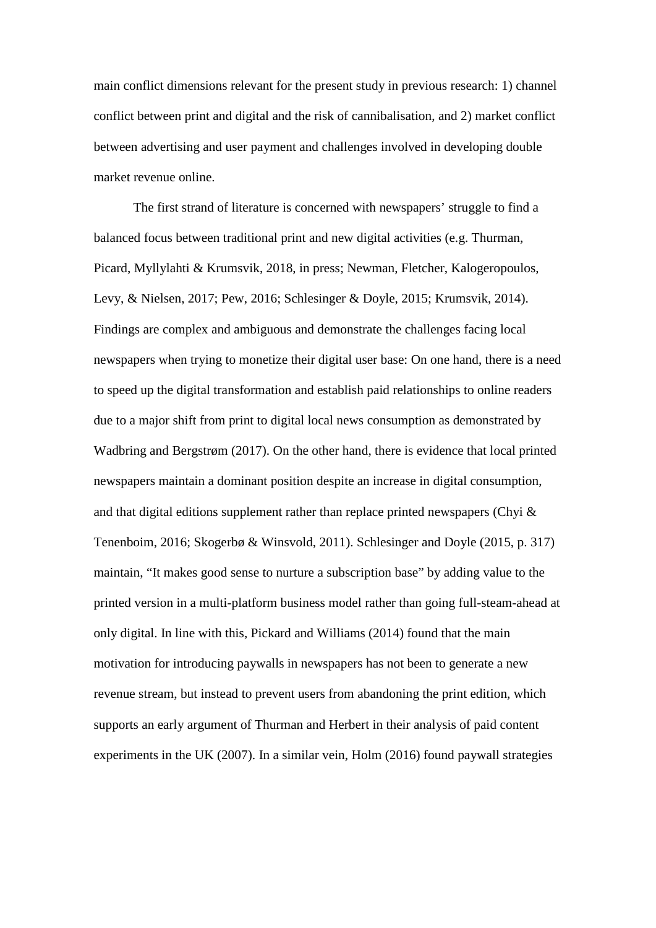main conflict dimensions relevant for the present study in previous research: 1) channel conflict between print and digital and the risk of cannibalisation, and 2) market conflict between advertising and user payment and challenges involved in developing double market revenue online.

The first strand of literature is concerned with newspapers' struggle to find a balanced focus between traditional print and new digital activities (e.g. Thurman, Picard, Myllylahti & Krumsvik, 2018, in press; Newman, Fletcher, Kalogeropoulos, Levy, & Nielsen, 2017; Pew, 2016; Schlesinger & Doyle, 2015; Krumsvik, 2014). Findings are complex and ambiguous and demonstrate the challenges facing local newspapers when trying to monetize their digital user base: On one hand, there is a need to speed up the digital transformation and establish paid relationships to online readers due to a major shift from print to digital local news consumption as demonstrated by Wadbring and Bergstrøm (2017). On the other hand, there is evidence that local printed newspapers maintain a dominant position despite an increase in digital consumption, and that digital editions supplement rather than replace printed newspapers (Chyi & Tenenboim, 2016; Skogerbø & Winsvold, 2011). Schlesinger and Doyle (2015, p. 317) maintain, "It makes good sense to nurture a subscription base" by adding value to the printed version in a multi-platform business model rather than going full-steam-ahead at only digital. In line with this, Pickard and Williams (2014) found that the main motivation for introducing paywalls in newspapers has not been to generate a new revenue stream, but instead to prevent users from abandoning the print edition, which supports an early argument of Thurman and Herbert in their analysis of paid content experiments in the UK (2007). In a similar vein, Holm (2016) found paywall strategies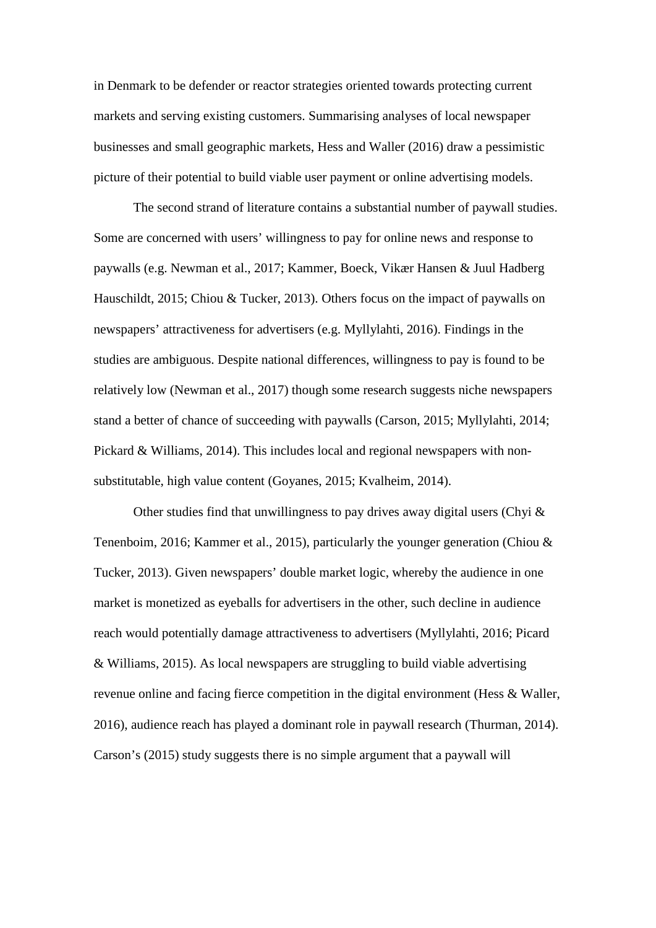in Denmark to be defender or reactor strategies oriented towards protecting current markets and serving existing customers. Summarising analyses of local newspaper businesses and small geographic markets, Hess and Waller (2016) draw a pessimistic picture of their potential to build viable user payment or online advertising models.

The second strand of literature contains a substantial number of paywall studies. Some are concerned with users' willingness to pay for online news and response to paywalls (e.g. Newman et al., 2017; Kammer, Boeck, Vikær Hansen & Juul Hadberg Hauschildt, 2015; Chiou & Tucker, 2013). Others focus on the impact of paywalls on newspapers' attractiveness for advertisers (e.g. Myllylahti, 2016). Findings in the studies are ambiguous. Despite national differences, willingness to pay is found to be relatively low (Newman et al., 2017) though some research suggests niche newspapers stand a better of chance of succeeding with paywalls (Carson, 2015; Myllylahti, 2014; Pickard & Williams, 2014). This includes local and regional newspapers with nonsubstitutable, high value content (Goyanes, 2015; Kvalheim, 2014).

Other studies find that unwillingness to pay drives away digital users (Chyi  $\&$ Tenenboim, 2016; Kammer et al., 2015), particularly the younger generation (Chiou & Tucker, 2013). Given newspapers' double market logic, whereby the audience in one market is monetized as eyeballs for advertisers in the other, such decline in audience reach would potentially damage attractiveness to advertisers (Myllylahti, 2016; Picard & Williams, 2015). As local newspapers are struggling to build viable advertising revenue online and facing fierce competition in the digital environment (Hess & Waller, 2016), audience reach has played a dominant role in paywall research (Thurman, 2014). Carson's (2015) study suggests there is no simple argument that a paywall will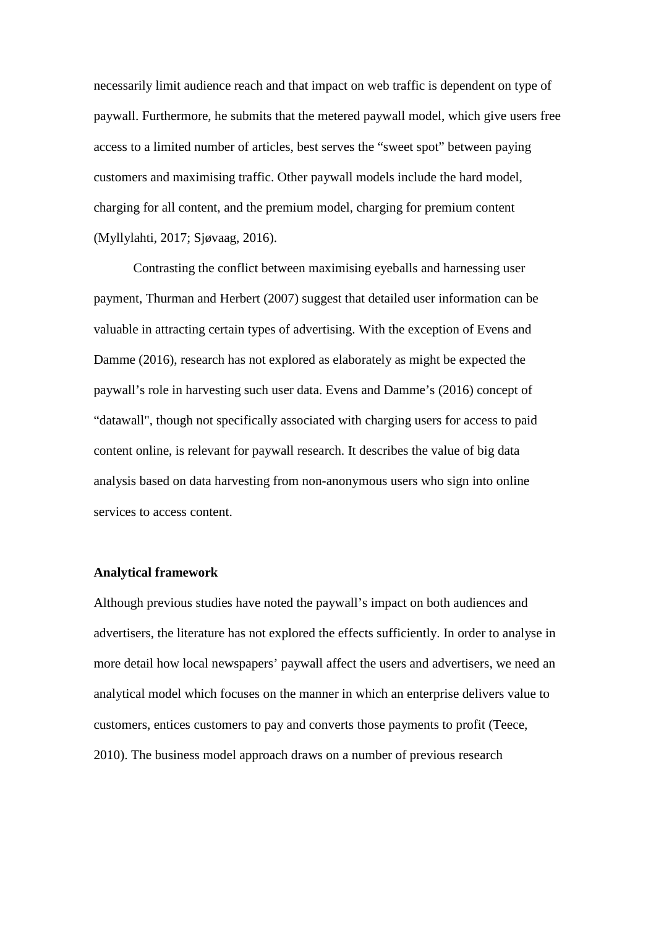necessarily limit audience reach and that impact on web traffic is dependent on type of paywall. Furthermore, he submits that the metered paywall model, which give users free access to a limited number of articles, best serves the "sweet spot" between paying customers and maximising traffic. Other paywall models include the hard model, charging for all content, and the premium model, charging for premium content (Myllylahti, 2017; Sjøvaag, 2016).

Contrasting the conflict between maximising eyeballs and harnessing user payment, Thurman and Herbert (2007) suggest that detailed user information can be valuable in attracting certain types of advertising. With the exception of Evens and Damme (2016), research has not explored as elaborately as might be expected the paywall's role in harvesting such user data. Evens and Damme's (2016) concept of "datawall", though not specifically associated with charging users for access to paid content online, is relevant for paywall research. It describes the value of big data analysis based on data harvesting from non-anonymous users who sign into online services to access content.

#### **Analytical framework**

Although previous studies have noted the paywall's impact on both audiences and advertisers, the literature has not explored the effects sufficiently. In order to analyse in more detail how local newspapers' paywall affect the users and advertisers, we need an analytical model which focuses on the manner in which an enterprise delivers value to customers, entices customers to pay and converts those payments to profit (Teece, 2010). The business model approach draws on a number of previous research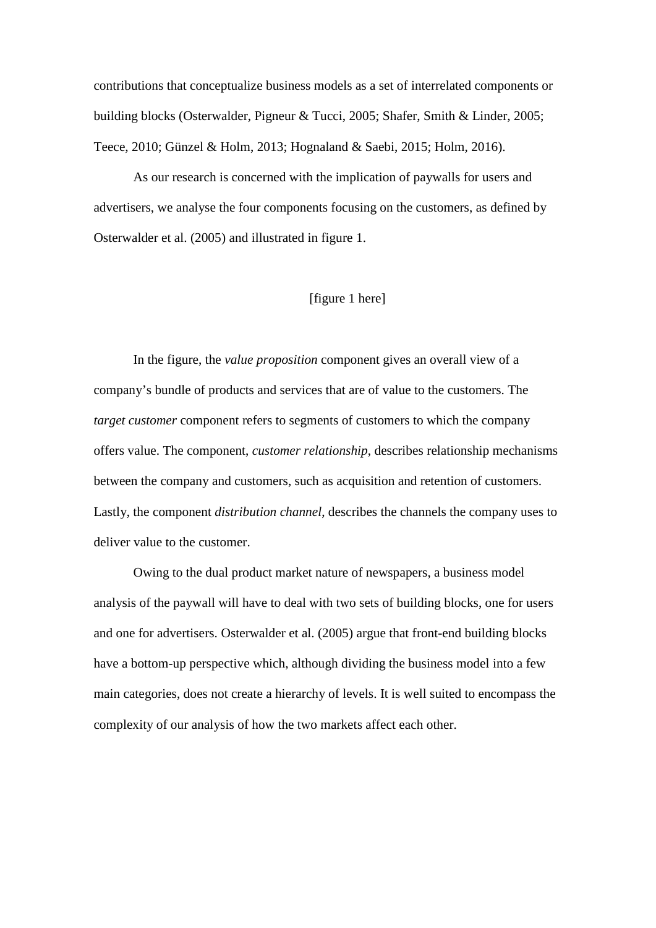contributions that conceptualize business models as a set of interrelated components or building blocks (Osterwalder, Pigneur & Tucci, 2005; Shafer, Smith & Linder, 2005; Teece, 2010; Günzel & Holm, 2013; Hognaland & Saebi, 2015; Holm, 2016).

As our research is concerned with the implication of paywalls for users and advertisers, we analyse the four components focusing on the customers, as defined by Osterwalder et al. (2005) and illustrated in figure 1.

# [figure 1 here]

In the figure, the *value proposition* component gives an overall view of a company's bundle of products and services that are of value to the customers. The *target customer* component refers to segments of customers to which the company offers value. The component, *customer relationship*, describes relationship mechanisms between the company and customers, such as acquisition and retention of customers. Lastly, the component *distribution channel*, describes the channels the company uses to deliver value to the customer.

Owing to the dual product market nature of newspapers, a business model analysis of the paywall will have to deal with two sets of building blocks, one for users and one for advertisers. Osterwalder et al. (2005) argue that front-end building blocks have a bottom-up perspective which, although dividing the business model into a few main categories, does not create a hierarchy of levels. It is well suited to encompass the complexity of our analysis of how the two markets affect each other.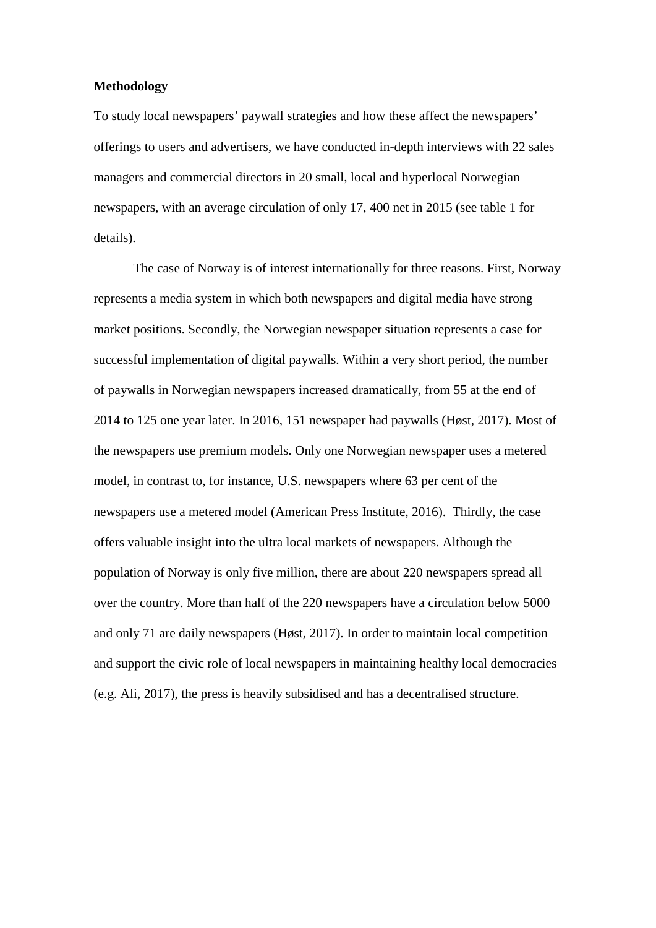## **Methodology**

To study local newspapers' paywall strategies and how these affect the newspapers' offerings to users and advertisers, we have conducted in-depth interviews with 22 sales managers and commercial directors in 20 small, local and hyperlocal Norwegian newspapers, with an average circulation of only 17, 400 net in 2015 (see table 1 for details).

The case of Norway is of interest internationally for three reasons. First, Norway represents a media system in which both newspapers and digital media have strong market positions. Secondly, the Norwegian newspaper situation represents a case for successful implementation of digital paywalls. Within a very short period, the number of paywalls in Norwegian newspapers increased dramatically, from 55 at the end of 2014 to 125 one year later. In 2016, 151 newspaper had paywalls (Høst, 2017). Most of the newspapers use premium models. Only one Norwegian newspaper uses a metered model, in contrast to, for instance, U.S. newspapers where 63 per cent of the newspapers use a metered model (American Press Institute, 2016). Thirdly, the case offers valuable insight into the ultra local markets of newspapers. Although the population of Norway is only five million, there are about 220 newspapers spread all over the country. More than half of the 220 newspapers have a circulation below 5000 and only 71 are daily newspapers (Høst, 2017). In order to maintain local competition and support the civic role of local newspapers in maintaining healthy local democracies (e.g. Ali, 2017), the press is heavily subsidised and has a decentralised structure.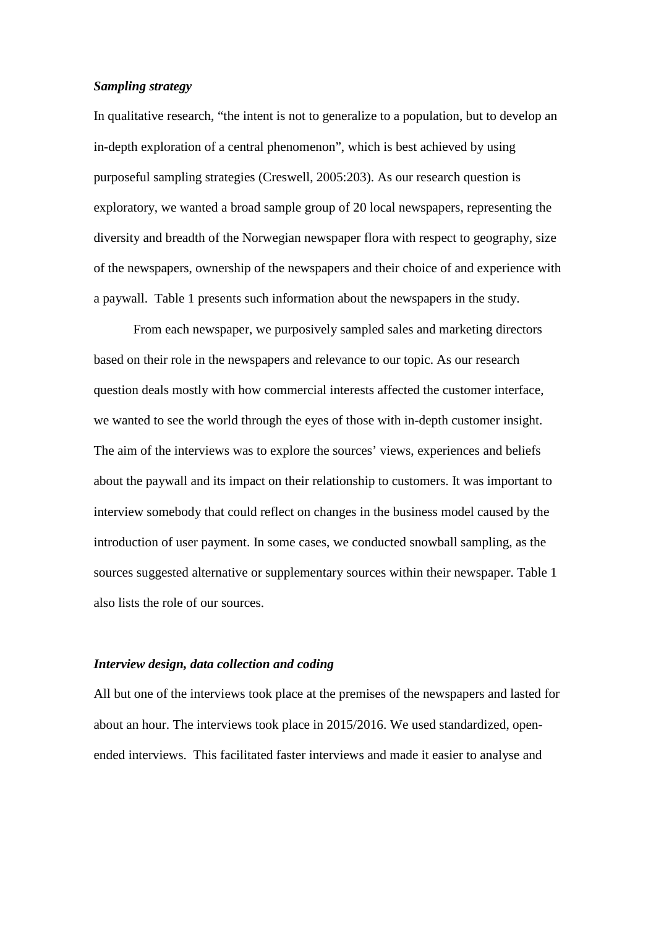## *Sampling strategy*

In qualitative research, "the intent is not to generalize to a population, but to develop an in-depth exploration of a central phenomenon", which is best achieved by using purposeful sampling strategies (Creswell, 2005:203). As our research question is exploratory, we wanted a broad sample group of 20 local newspapers, representing the diversity and breadth of the Norwegian newspaper flora with respect to geography, size of the newspapers, ownership of the newspapers and their choice of and experience with a paywall. Table 1 presents such information about the newspapers in the study.

From each newspaper, we purposively sampled sales and marketing directors based on their role in the newspapers and relevance to our topic. As our research question deals mostly with how commercial interests affected the customer interface, we wanted to see the world through the eyes of those with in-depth customer insight. The aim of the interviews was to explore the sources' views, experiences and beliefs about the paywall and its impact on their relationship to customers. It was important to interview somebody that could reflect on changes in the business model caused by the introduction of user payment. In some cases, we conducted snowball sampling, as the sources suggested alternative or supplementary sources within their newspaper. Table 1 also lists the role of our sources.

## *Interview design, data collection and coding*

All but one of the interviews took place at the premises of the newspapers and lasted for about an hour. The interviews took place in 2015/2016. We used standardized, openended interviews. This facilitated faster interviews and made it easier to analyse and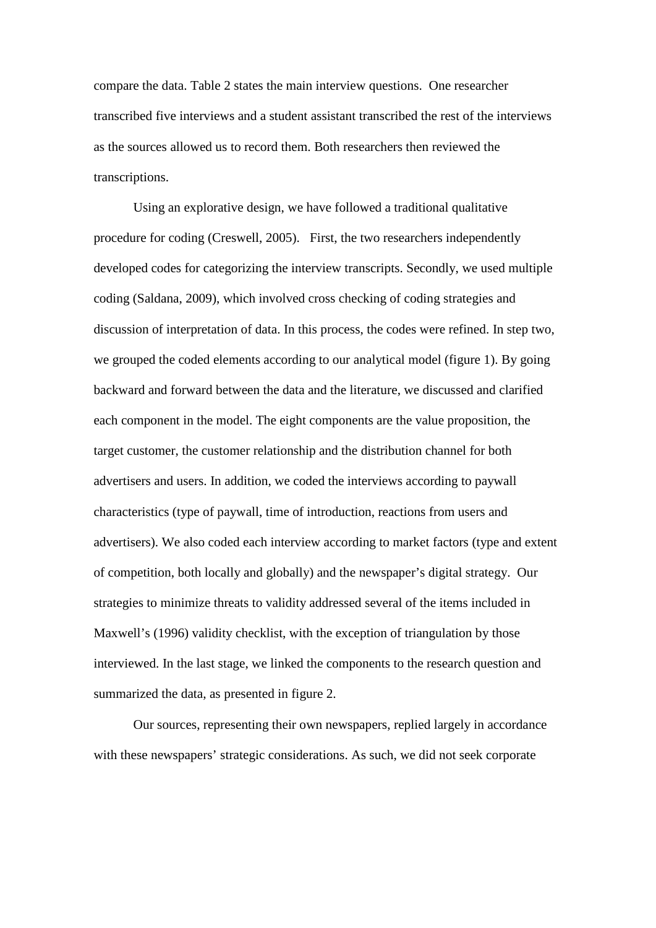compare the data. Table 2 states the main interview questions. One researcher transcribed five interviews and a student assistant transcribed the rest of the interviews as the sources allowed us to record them. Both researchers then reviewed the transcriptions.

Using an explorative design, we have followed a traditional qualitative procedure for coding (Creswell, 2005). First, the two researchers independently developed codes for categorizing the interview transcripts. Secondly, we used multiple coding (Saldana, 2009), which involved cross checking of coding strategies and discussion of interpretation of data. In this process, the codes were refined. In step two, we grouped the coded elements according to our analytical model (figure 1). By going backward and forward between the data and the literature, we discussed and clarified each component in the model. The eight components are the value proposition, the target customer, the customer relationship and the distribution channel for both advertisers and users. In addition, we coded the interviews according to paywall characteristics (type of paywall, time of introduction, reactions from users and advertisers). We also coded each interview according to market factors (type and extent of competition, both locally and globally) and the newspaper's digital strategy. Our strategies to minimize threats to validity addressed several of the items included in Maxwell's (1996) validity checklist, with the exception of triangulation by those interviewed. In the last stage, we linked the components to the research question and summarized the data, as presented in figure 2.

Our sources, representing their own newspapers, replied largely in accordance with these newspapers' strategic considerations. As such, we did not seek corporate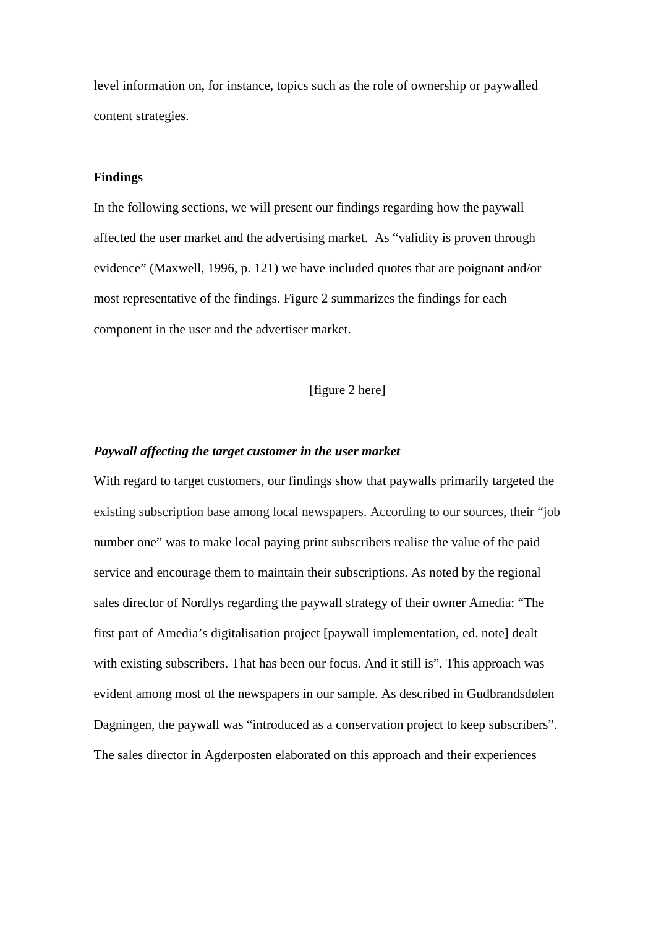level information on, for instance, topics such as the role of ownership or paywalled content strategies.

## **Findings**

In the following sections, we will present our findings regarding how the paywall affected the user market and the advertising market. As "validity is proven through evidence" (Maxwell, 1996, p. 121) we have included quotes that are poignant and/or most representative of the findings. Figure 2 summarizes the findings for each component in the user and the advertiser market.

[figure 2 here]

#### *Paywall affecting the target customer in the user market*

With regard to target customers, our findings show that paywalls primarily targeted the existing subscription base among local newspapers. According to our sources, their "job number one" was to make local paying print subscribers realise the value of the paid service and encourage them to maintain their subscriptions. As noted by the regional sales director of Nordlys regarding the paywall strategy of their owner Amedia: "The first part of Amedia's digitalisation project [paywall implementation, ed. note] dealt with existing subscribers. That has been our focus. And it still is". This approach was evident among most of the newspapers in our sample. As described in Gudbrandsdølen Dagningen, the paywall was "introduced as a conservation project to keep subscribers". The sales director in Agderposten elaborated on this approach and their experiences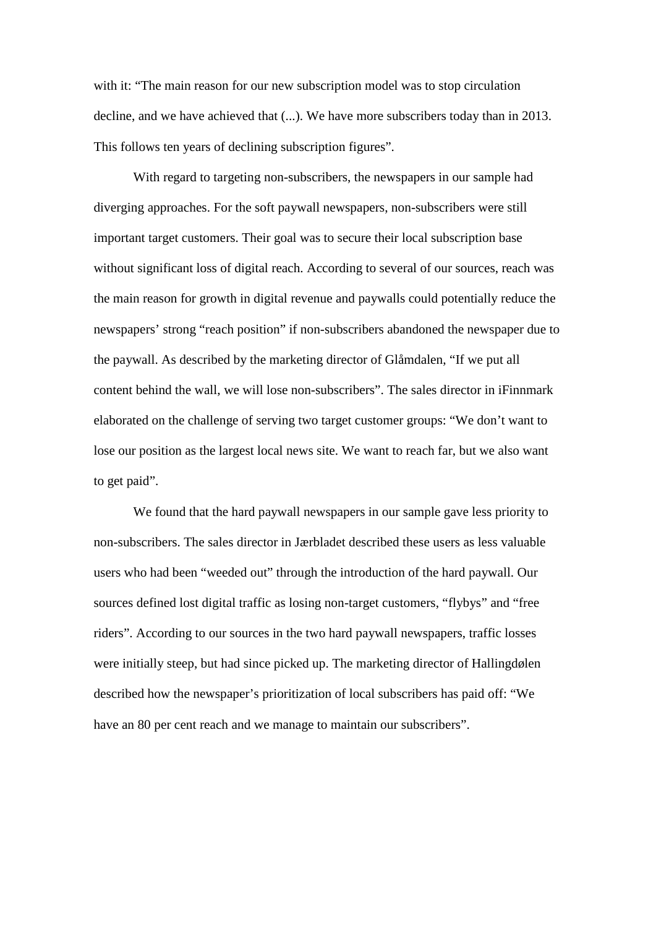with it: "The main reason for our new subscription model was to stop circulation decline, and we have achieved that (...). We have more subscribers today than in 2013. This follows ten years of declining subscription figures".

With regard to targeting non-subscribers, the newspapers in our sample had diverging approaches. For the soft paywall newspapers, non-subscribers were still important target customers. Their goal was to secure their local subscription base without significant loss of digital reach. According to several of our sources, reach was the main reason for growth in digital revenue and paywalls could potentially reduce the newspapers' strong "reach position" if non-subscribers abandoned the newspaper due to the paywall. As described by the marketing director of Glåmdalen, "If we put all content behind the wall, we will lose non-subscribers". The sales director in iFinnmark elaborated on the challenge of serving two target customer groups: "We don't want to lose our position as the largest local news site. We want to reach far, but we also want to get paid".

We found that the hard paywall newspapers in our sample gave less priority to non-subscribers. The sales director in Jærbladet described these users as less valuable users who had been "weeded out" through the introduction of the hard paywall. Our sources defined lost digital traffic as losing non-target customers, "flybys" and "free riders". According to our sources in the two hard paywall newspapers, traffic losses were initially steep, but had since picked up. The marketing director of Hallingdølen described how the newspaper's prioritization of local subscribers has paid off: "We have an 80 per cent reach and we manage to maintain our subscribers".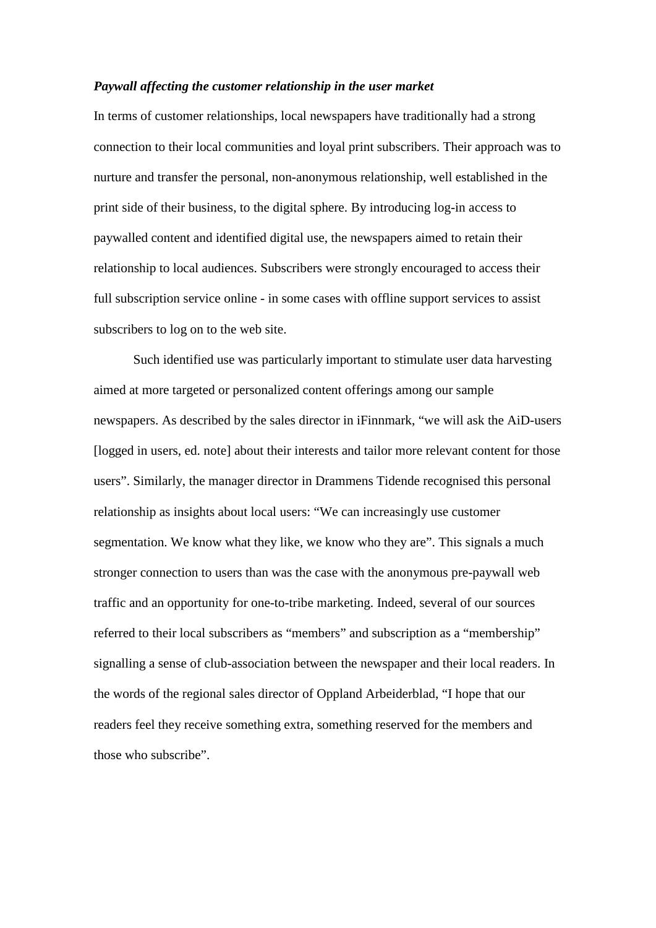#### *Paywall affecting the customer relationship in the user market*

In terms of customer relationships, local newspapers have traditionally had a strong connection to their local communities and loyal print subscribers. Their approach was to nurture and transfer the personal, non-anonymous relationship, well established in the print side of their business, to the digital sphere. By introducing log-in access to paywalled content and identified digital use, the newspapers aimed to retain their relationship to local audiences. Subscribers were strongly encouraged to access their full subscription service online - in some cases with offline support services to assist subscribers to log on to the web site.

Such identified use was particularly important to stimulate user data harvesting aimed at more targeted or personalized content offerings among our sample newspapers. As described by the sales director in iFinnmark, "we will ask the AiD-users [logged in users, ed. note] about their interests and tailor more relevant content for those users". Similarly, the manager director in Drammens Tidende recognised this personal relationship as insights about local users: "We can increasingly use customer segmentation. We know what they like, we know who they are". This signals a much stronger connection to users than was the case with the anonymous pre-paywall web traffic and an opportunity for one-to-tribe marketing. Indeed, several of our sources referred to their local subscribers as "members" and subscription as a "membership" signalling a sense of club-association between the newspaper and their local readers. In the words of the regional sales director of Oppland Arbeiderblad, "I hope that our readers feel they receive something extra, something reserved for the members and those who subscribe".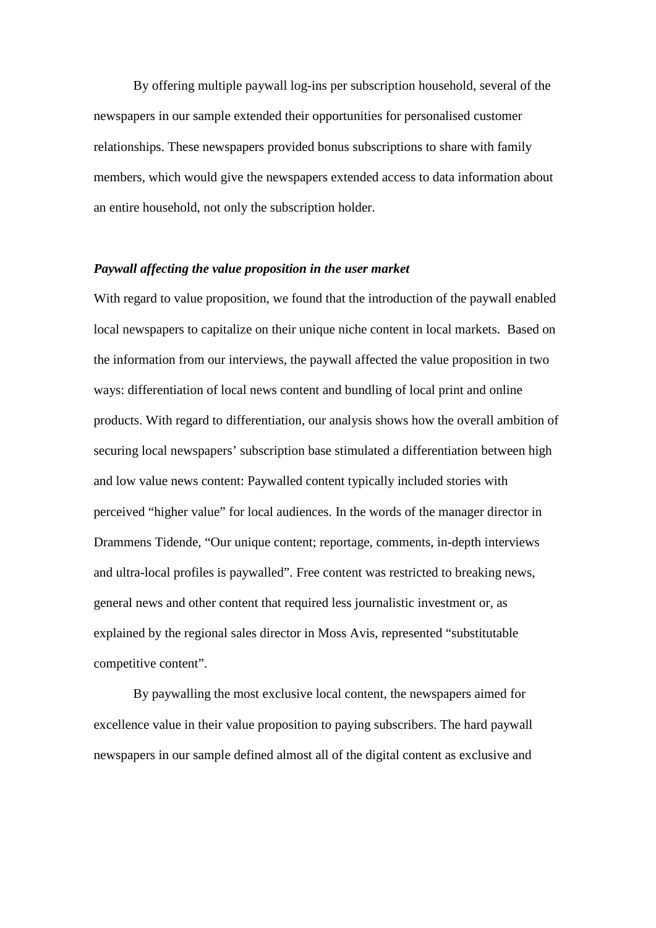By offering multiple paywall log-ins per subscription household, several of the newspapers in our sample extended their opportunities for personalised customer relationships. These newspapers provided bonus subscriptions to share with family members, which would give the newspapers extended access to data information about an entire household, not only the subscription holder.

## *Paywall affecting the value proposition in the user market*

With regard to value proposition, we found that the introduction of the paywall enabled local newspapers to capitalize on their unique niche content in local markets. Based on the information from our interviews, the paywall affected the value proposition in two ways: differentiation of local news content and bundling of local print and online products. With regard to differentiation, our analysis shows how the overall ambition of securing local newspapers' subscription base stimulated a differentiation between high and low value news content: Paywalled content typically included stories with perceived "higher value" for local audiences. In the words of the manager director in Drammens Tidende, "Our unique content; reportage, comments, in-depth interviews and ultra-local profiles is paywalled". Free content was restricted to breaking news, general news and other content that required less journalistic investment or, as explained by the regional sales director in Moss Avis, represented "substitutable competitive content".

By paywalling the most exclusive local content, the newspapers aimed for excellence value in their value proposition to paying subscribers. The hard paywall newspapers in our sample defined almost all of the digital content as exclusive and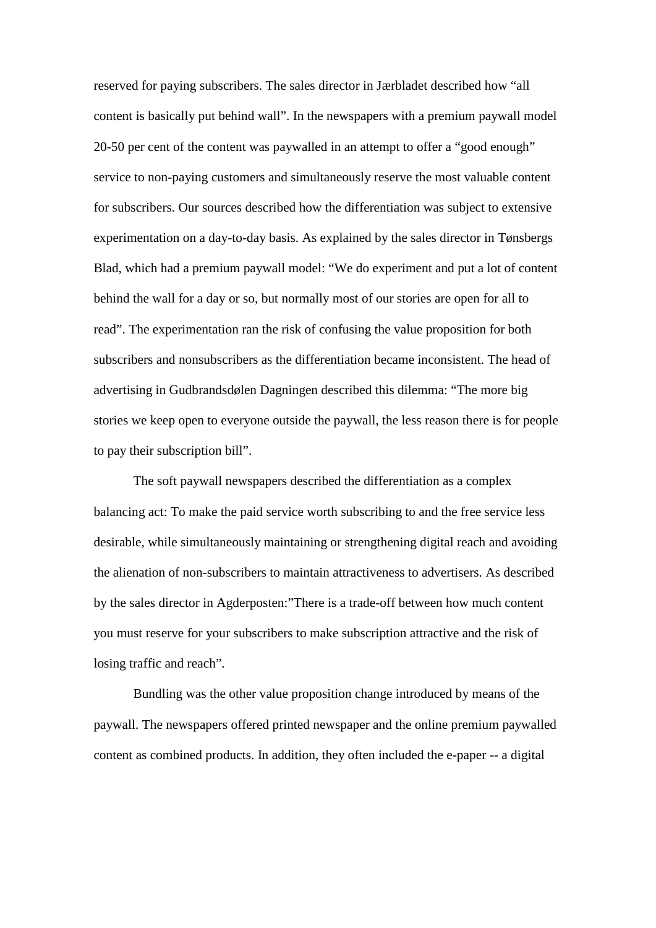reserved for paying subscribers. The sales director in Jærbladet described how "all content is basically put behind wall". In the newspapers with a premium paywall model 20-50 per cent of the content was paywalled in an attempt to offer a "good enough" service to non-paying customers and simultaneously reserve the most valuable content for subscribers. Our sources described how the differentiation was subject to extensive experimentation on a day-to-day basis. As explained by the sales director in Tønsbergs Blad, which had a premium paywall model: "We do experiment and put a lot of content behind the wall for a day or so, but normally most of our stories are open for all to read". The experimentation ran the risk of confusing the value proposition for both subscribers and nonsubscribers as the differentiation became inconsistent. The head of advertising in Gudbrandsdølen Dagningen described this dilemma: "The more big stories we keep open to everyone outside the paywall, the less reason there is for people to pay their subscription bill".

The soft paywall newspapers described the differentiation as a complex balancing act: To make the paid service worth subscribing to and the free service less desirable, while simultaneously maintaining or strengthening digital reach and avoiding the alienation of non-subscribers to maintain attractiveness to advertisers. As described by the sales director in Agderposten:"There is a trade-off between how much content you must reserve for your subscribers to make subscription attractive and the risk of losing traffic and reach".

Bundling was the other value proposition change introduced by means of the paywall. The newspapers offered printed newspaper and the online premium paywalled content as combined products. In addition, they often included the e-paper -- a digital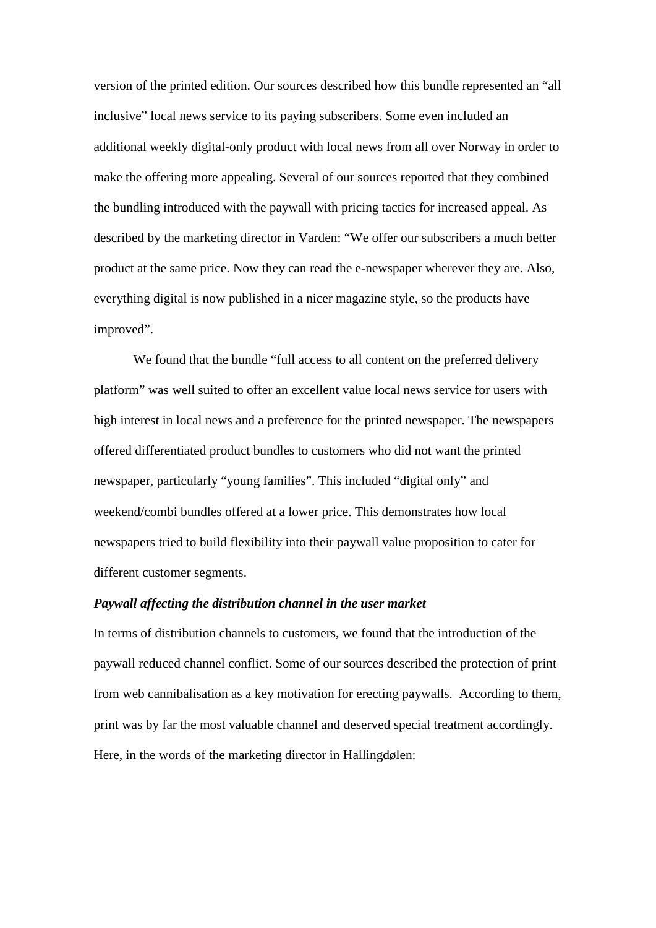version of the printed edition. Our sources described how this bundle represented an "all inclusive" local news service to its paying subscribers. Some even included an additional weekly digital-only product with local news from all over Norway in order to make the offering more appealing. Several of our sources reported that they combined the bundling introduced with the paywall with pricing tactics for increased appeal. As described by the marketing director in Varden: "We offer our subscribers a much better product at the same price. Now they can read the e-newspaper wherever they are. Also, everything digital is now published in a nicer magazine style, so the products have improved".

We found that the bundle "full access to all content on the preferred delivery platform" was well suited to offer an excellent value local news service for users with high interest in local news and a preference for the printed newspaper. The newspapers offered differentiated product bundles to customers who did not want the printed newspaper, particularly "young families". This included "digital only" and weekend/combi bundles offered at a lower price. This demonstrates how local newspapers tried to build flexibility into their paywall value proposition to cater for different customer segments.

## *Paywall affecting the distribution channel in the user market*

In terms of distribution channels to customers, we found that the introduction of the paywall reduced channel conflict. Some of our sources described the protection of print from web cannibalisation as a key motivation for erecting paywalls. According to them, print was by far the most valuable channel and deserved special treatment accordingly. Here, in the words of the marketing director in Hallingdølen: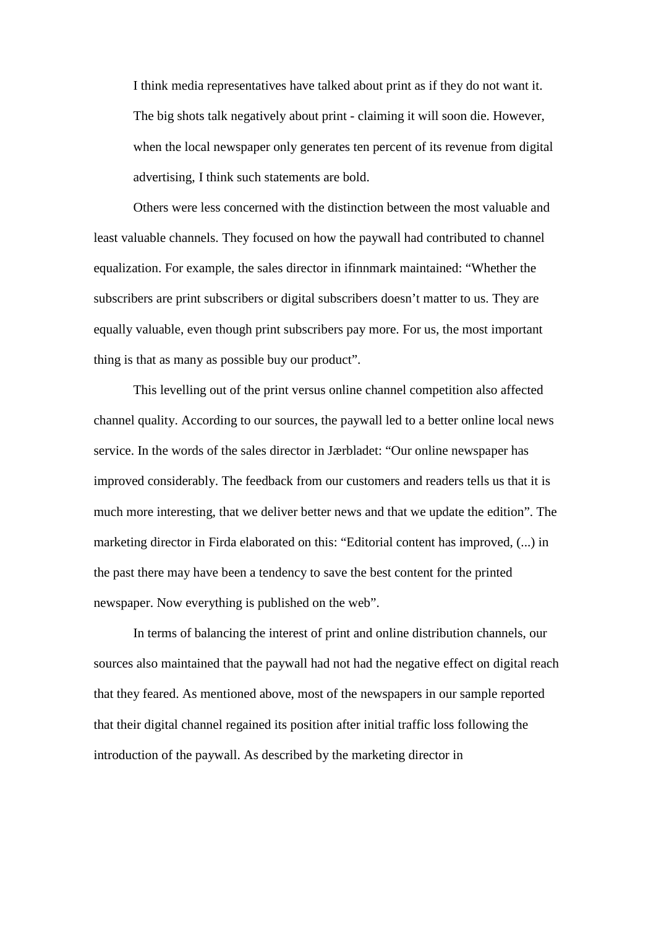I think media representatives have talked about print as if they do not want it. The big shots talk negatively about print - claiming it will soon die. However, when the local newspaper only generates ten percent of its revenue from digital advertising, I think such statements are bold.

Others were less concerned with the distinction between the most valuable and least valuable channels. They focused on how the paywall had contributed to channel equalization. For example, the sales director in ifinnmark maintained: "Whether the subscribers are print subscribers or digital subscribers doesn't matter to us. They are equally valuable, even though print subscribers pay more. For us, the most important thing is that as many as possible buy our product".

This levelling out of the print versus online channel competition also affected channel quality. According to our sources, the paywall led to a better online local news service. In the words of the sales director in Jærbladet: "Our online newspaper has improved considerably. The feedback from our customers and readers tells us that it is much more interesting, that we deliver better news and that we update the edition". The marketing director in Firda elaborated on this: "Editorial content has improved, (...) in the past there may have been a tendency to save the best content for the printed newspaper. Now everything is published on the web".

In terms of balancing the interest of print and online distribution channels, our sources also maintained that the paywall had not had the negative effect on digital reach that they feared. As mentioned above, most of the newspapers in our sample reported that their digital channel regained its position after initial traffic loss following the introduction of the paywall. As described by the marketing director in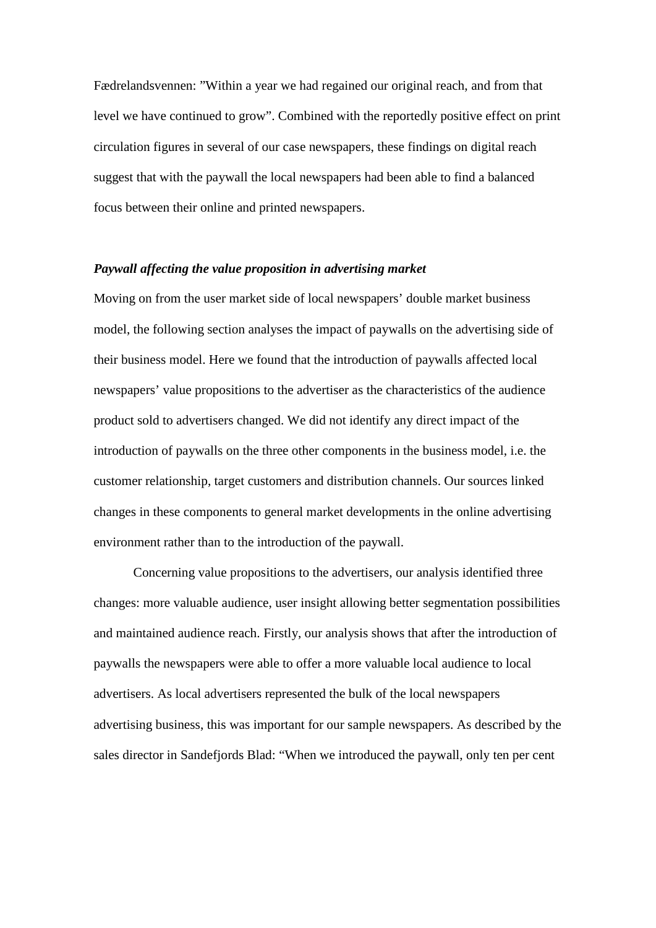Fædrelandsvennen: "Within a year we had regained our original reach, and from that level we have continued to grow". Combined with the reportedly positive effect on print circulation figures in several of our case newspapers, these findings on digital reach suggest that with the paywall the local newspapers had been able to find a balanced focus between their online and printed newspapers.

#### *Paywall affecting the value proposition in advertising market*

Moving on from the user market side of local newspapers' double market business model, the following section analyses the impact of paywalls on the advertising side of their business model. Here we found that the introduction of paywalls affected local newspapers' value propositions to the advertiser as the characteristics of the audience product sold to advertisers changed. We did not identify any direct impact of the introduction of paywalls on the three other components in the business model, i.e. the customer relationship, target customers and distribution channels. Our sources linked changes in these components to general market developments in the online advertising environment rather than to the introduction of the paywall.

Concerning value propositions to the advertisers, our analysis identified three changes: more valuable audience, user insight allowing better segmentation possibilities and maintained audience reach. Firstly, our analysis shows that after the introduction of paywalls the newspapers were able to offer a more valuable local audience to local advertisers. As local advertisers represented the bulk of the local newspapers advertising business, this was important for our sample newspapers. As described by the sales director in Sandefjords Blad: "When we introduced the paywall, only ten per cent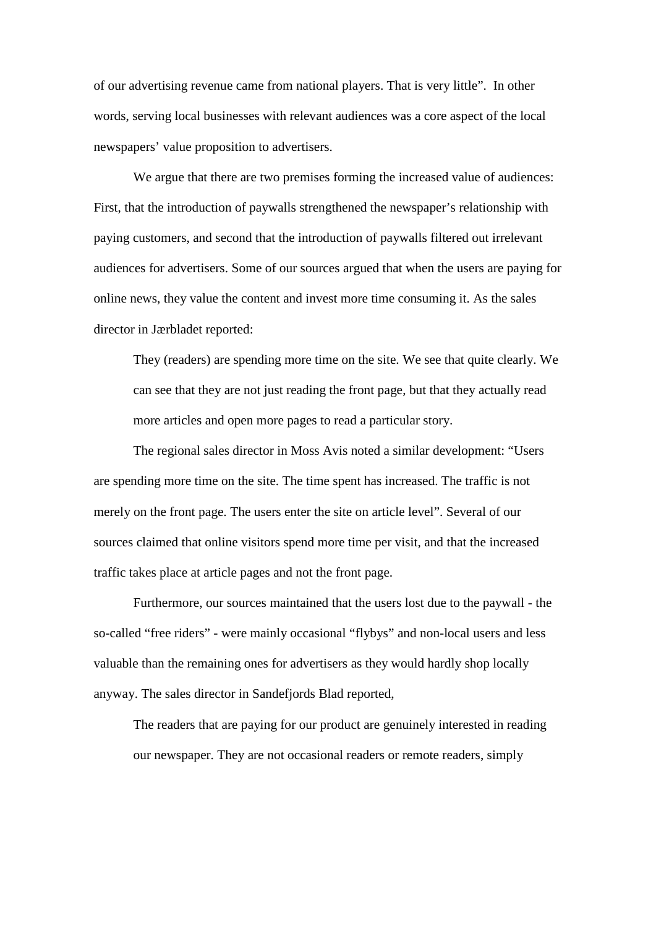of our advertising revenue came from national players. That is very little". In other words, serving local businesses with relevant audiences was a core aspect of the local newspapers' value proposition to advertisers.

We argue that there are two premises forming the increased value of audiences: First, that the introduction of paywalls strengthened the newspaper's relationship with paying customers, and second that the introduction of paywalls filtered out irrelevant audiences for advertisers. Some of our sources argued that when the users are paying for online news, they value the content and invest more time consuming it. As the sales director in Jærbladet reported:

They (readers) are spending more time on the site. We see that quite clearly. We can see that they are not just reading the front page, but that they actually read more articles and open more pages to read a particular story.

The regional sales director in Moss Avis noted a similar development: "Users are spending more time on the site. The time spent has increased. The traffic is not merely on the front page. The users enter the site on article level". Several of our sources claimed that online visitors spend more time per visit, and that the increased traffic takes place at article pages and not the front page.

Furthermore, our sources maintained that the users lost due to the paywall - the so-called "free riders" - were mainly occasional "flybys" and non-local users and less valuable than the remaining ones for advertisers as they would hardly shop locally anyway. The sales director in Sandefjords Blad reported,

The readers that are paying for our product are genuinely interested in reading our newspaper. They are not occasional readers or remote readers, simply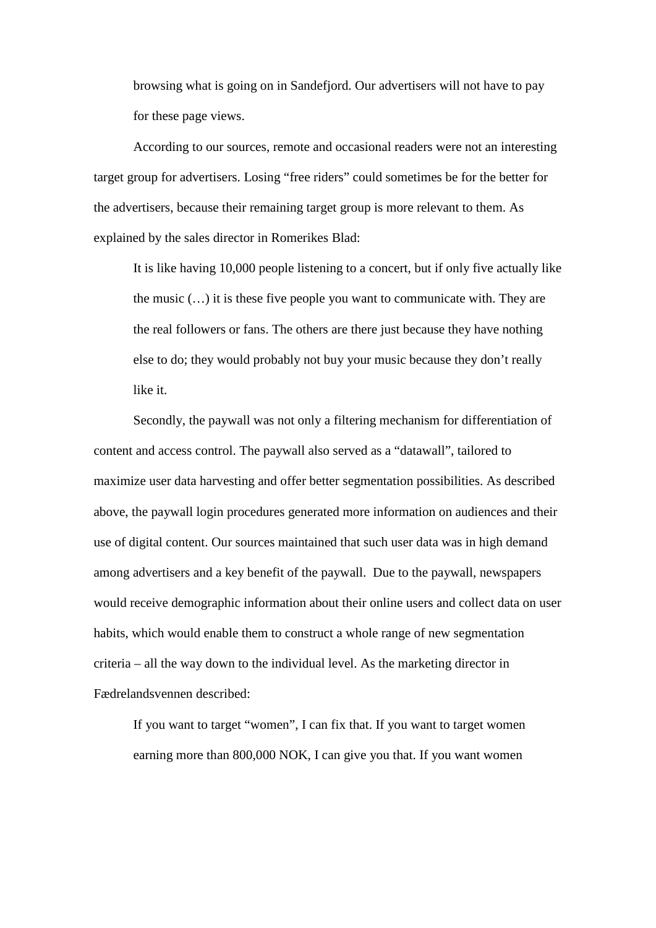browsing what is going on in Sandefjord. Our advertisers will not have to pay for these page views.

According to our sources, remote and occasional readers were not an interesting target group for advertisers. Losing "free riders" could sometimes be for the better for the advertisers, because their remaining target group is more relevant to them. As explained by the sales director in Romerikes Blad:

It is like having 10,000 people listening to a concert, but if only five actually like the music  $(...)$  it is these five people you want to communicate with. They are the real followers or fans. The others are there just because they have nothing else to do; they would probably not buy your music because they don't really like it.

Secondly, the paywall was not only a filtering mechanism for differentiation of content and access control. The paywall also served as a "datawall", tailored to maximize user data harvesting and offer better segmentation possibilities. As described above, the paywall login procedures generated more information on audiences and their use of digital content. Our sources maintained that such user data was in high demand among advertisers and a key benefit of the paywall. Due to the paywall, newspapers would receive demographic information about their online users and collect data on user habits, which would enable them to construct a whole range of new segmentation criteria – all the way down to the individual level. As the marketing director in Fædrelandsvennen described:

If you want to target "women", I can fix that. If you want to target women earning more than 800,000 NOK, I can give you that. If you want women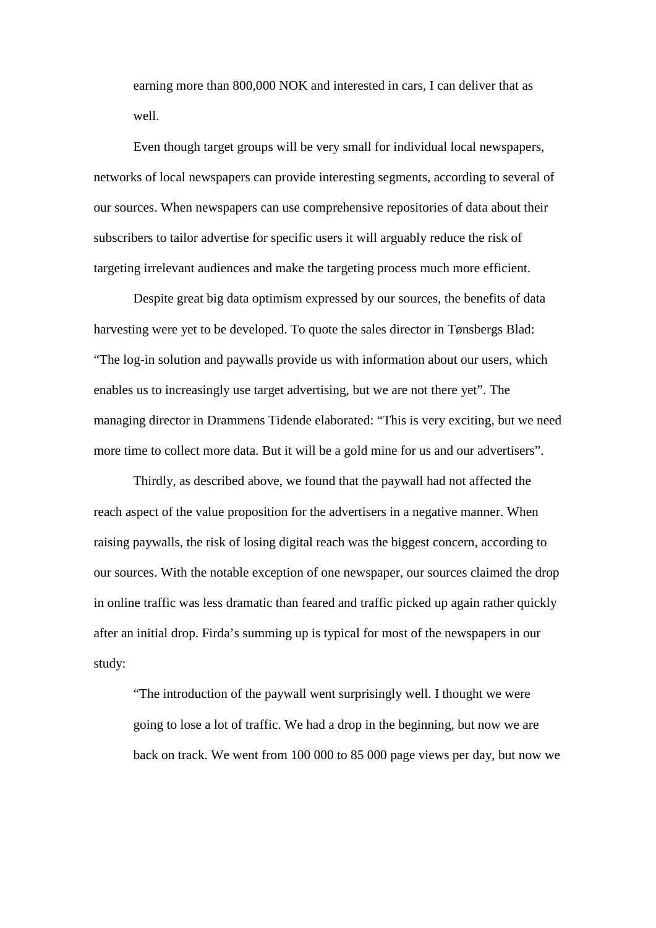earning more than 800,000 NOK and interested in cars, I can deliver that as well.

Even though target groups will be very small for individual local newspapers, networks of local newspapers can provide interesting segments, according to several of our sources. When newspapers can use comprehensive repositories of data about their subscribers to tailor advertise for specific users it will arguably reduce the risk of targeting irrelevant audiences and make the targeting process much more efficient.

Despite great big data optimism expressed by our sources, the benefits of data harvesting were yet to be developed. To quote the sales director in Tønsbergs Blad: "The log-in solution and paywalls provide us with information about our users, which enables us to increasingly use target advertising, but we are not there yet". The managing director in Drammens Tidende elaborated: "This is very exciting, but we need more time to collect more data. But it will be a gold mine for us and our advertisers".

Thirdly, as described above, we found that the paywall had not affected the reach aspect of the value proposition for the advertisers in a negative manner. When raising paywalls, the risk of losing digital reach was the biggest concern, according to our sources. With the notable exception of one newspaper, our sources claimed the drop in online traffic was less dramatic than feared and traffic picked up again rather quickly after an initial drop. Firda's summing up is typical for most of the newspapers in our study:

"The introduction of the paywall went surprisingly well. I thought we were going to lose a lot of traffic. We had a drop in the beginning, but now we are back on track. We went from 100 000 to 85 000 page views per day, but now we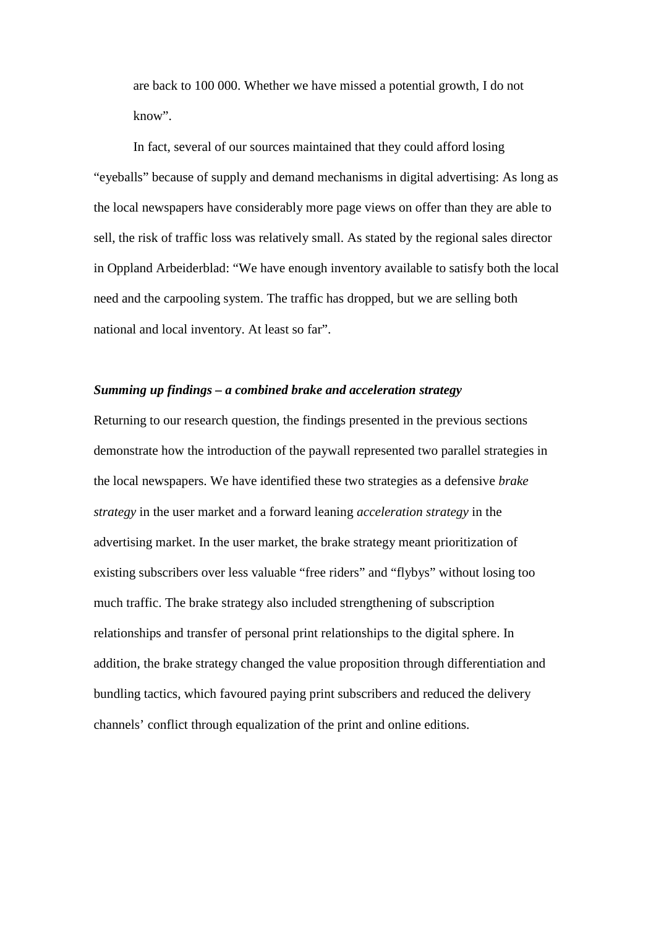are back to 100 000. Whether we have missed a potential growth, I do not know".

In fact, several of our sources maintained that they could afford losing "eyeballs" because of supply and demand mechanisms in digital advertising: As long as the local newspapers have considerably more page views on offer than they are able to sell, the risk of traffic loss was relatively small. As stated by the regional sales director in Oppland Arbeiderblad: "We have enough inventory available to satisfy both the local need and the carpooling system. The traffic has dropped, but we are selling both national and local inventory. At least so far".

#### *Summing up findings – a combined brake and acceleration strategy*

Returning to our research question, the findings presented in the previous sections demonstrate how the introduction of the paywall represented two parallel strategies in the local newspapers. We have identified these two strategies as a defensive *brake strategy* in the user market and a forward leaning *acceleration strategy* in the advertising market. In the user market, the brake strategy meant prioritization of existing subscribers over less valuable "free riders" and "flybys" without losing too much traffic. The brake strategy also included strengthening of subscription relationships and transfer of personal print relationships to the digital sphere. In addition, the brake strategy changed the value proposition through differentiation and bundling tactics, which favoured paying print subscribers and reduced the delivery channels' conflict through equalization of the print and online editions.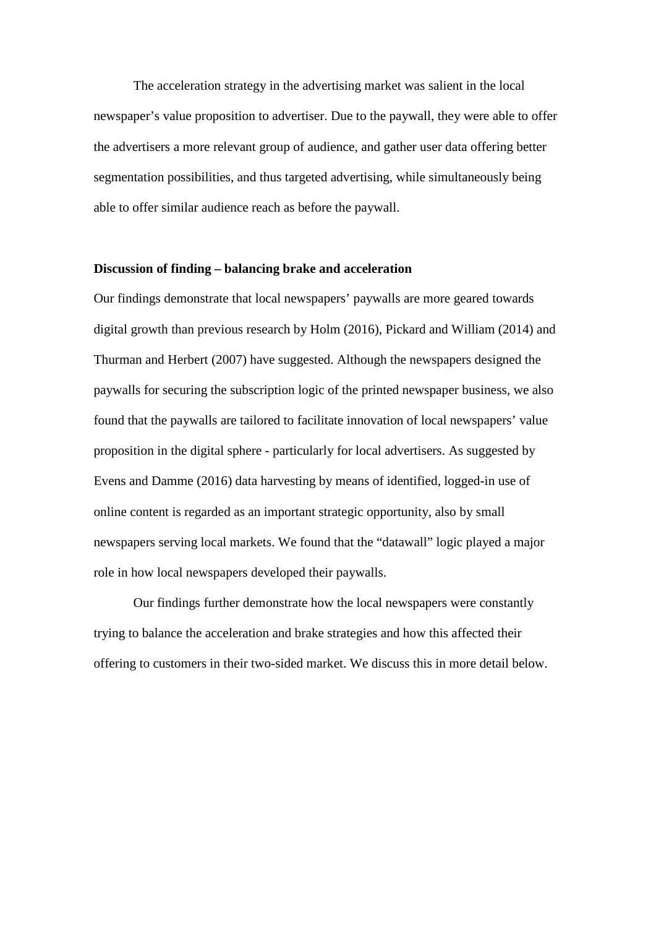The acceleration strategy in the advertising market was salient in the local newspaper's value proposition to advertiser. Due to the paywall, they were able to offer the advertisers a more relevant group of audience, and gather user data offering better segmentation possibilities, and thus targeted advertising, while simultaneously being able to offer similar audience reach as before the paywall.

#### **Discussion of finding – balancing brake and acceleration**

Our findings demonstrate that local newspapers' paywalls are more geared towards digital growth than previous research by Holm (2016), Pickard and William (2014) and Thurman and Herbert (2007) have suggested. Although the newspapers designed the paywalls for securing the subscription logic of the printed newspaper business, we also found that the paywalls are tailored to facilitate innovation of local newspapers' value proposition in the digital sphere - particularly for local advertisers. As suggested by Evens and Damme (2016) data harvesting by means of identified, logged-in use of online content is regarded as an important strategic opportunity, also by small newspapers serving local markets. We found that the "datawall" logic played a major role in how local newspapers developed their paywalls.

Our findings further demonstrate how the local newspapers were constantly trying to balance the acceleration and brake strategies and how this affected their offering to customers in their two-sided market. We discuss this in more detail below.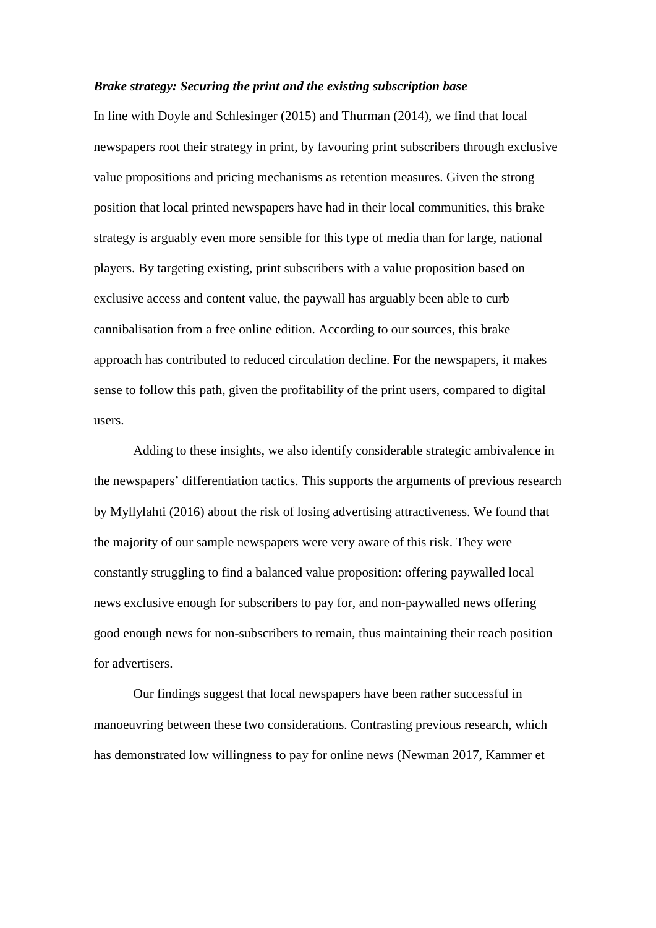#### *Brake strategy: Securing the print and the existing subscription base*

In line with Doyle and Schlesinger (2015) and Thurman (2014), we find that local newspapers root their strategy in print, by favouring print subscribers through exclusive value propositions and pricing mechanisms as retention measures. Given the strong position that local printed newspapers have had in their local communities, this brake strategy is arguably even more sensible for this type of media than for large, national players. By targeting existing, print subscribers with a value proposition based on exclusive access and content value, the paywall has arguably been able to curb cannibalisation from a free online edition. According to our sources, this brake approach has contributed to reduced circulation decline. For the newspapers, it makes sense to follow this path, given the profitability of the print users, compared to digital users.

Adding to these insights, we also identify considerable strategic ambivalence in the newspapers' differentiation tactics. This supports the arguments of previous research by Myllylahti (2016) about the risk of losing advertising attractiveness. We found that the majority of our sample newspapers were very aware of this risk. They were constantly struggling to find a balanced value proposition: offering paywalled local news exclusive enough for subscribers to pay for, and non-paywalled news offering good enough news for non-subscribers to remain, thus maintaining their reach position for advertisers.

Our findings suggest that local newspapers have been rather successful in manoeuvring between these two considerations. Contrasting previous research, which has demonstrated low willingness to pay for online news (Newman 2017, Kammer et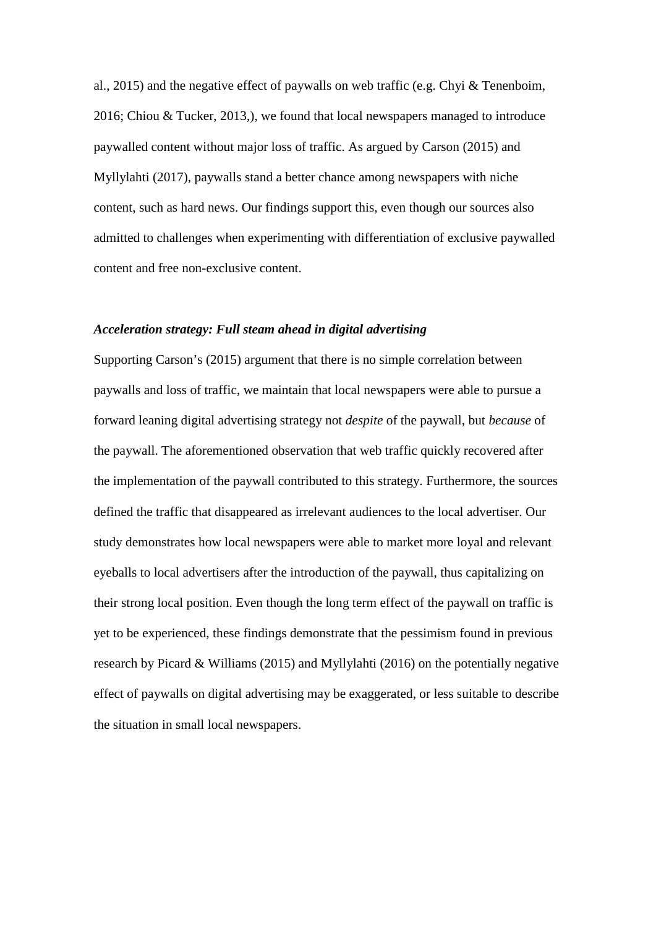al., 2015) and the negative effect of paywalls on web traffic (e.g. Chyi & Tenenboim, 2016; Chiou & Tucker, 2013,), we found that local newspapers managed to introduce paywalled content without major loss of traffic. As argued by Carson (2015) and Myllylahti (2017), paywalls stand a better chance among newspapers with niche content, such as hard news. Our findings support this, even though our sources also admitted to challenges when experimenting with differentiation of exclusive paywalled content and free non-exclusive content.

## *Acceleration strategy: Full steam ahead in digital advertising*

Supporting Carson's (2015) argument that there is no simple correlation between paywalls and loss of traffic, we maintain that local newspapers were able to pursue a forward leaning digital advertising strategy not *despite* of the paywall, but *because* of the paywall. The aforementioned observation that web traffic quickly recovered after the implementation of the paywall contributed to this strategy. Furthermore, the sources defined the traffic that disappeared as irrelevant audiences to the local advertiser. Our study demonstrates how local newspapers were able to market more loyal and relevant eyeballs to local advertisers after the introduction of the paywall, thus capitalizing on their strong local position. Even though the long term effect of the paywall on traffic is yet to be experienced, these findings demonstrate that the pessimism found in previous research by Picard & Williams (2015) and Myllylahti (2016) on the potentially negative effect of paywalls on digital advertising may be exaggerated, or less suitable to describe the situation in small local newspapers.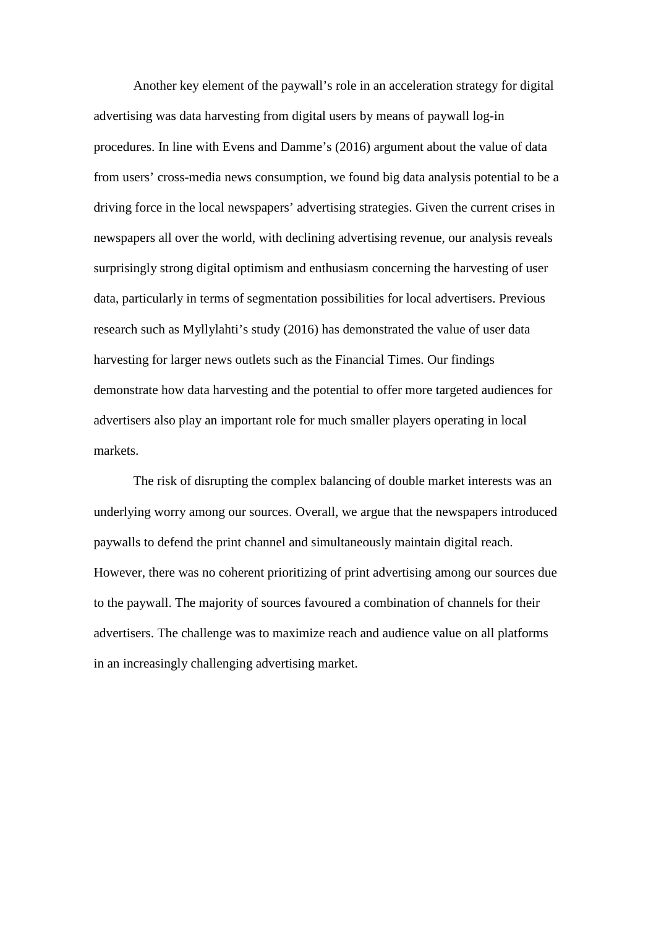Another key element of the paywall's role in an acceleration strategy for digital advertising was data harvesting from digital users by means of paywall log-in procedures. In line with Evens and Damme's (2016) argument about the value of data from users' cross-media news consumption, we found big data analysis potential to be a driving force in the local newspapers' advertising strategies. Given the current crises in newspapers all over the world, with declining advertising revenue, our analysis reveals surprisingly strong digital optimism and enthusiasm concerning the harvesting of user data, particularly in terms of segmentation possibilities for local advertisers. Previous research such as Myllylahti's study (2016) has demonstrated the value of user data harvesting for larger news outlets such as the Financial Times. Our findings demonstrate how data harvesting and the potential to offer more targeted audiences for advertisers also play an important role for much smaller players operating in local markets.

The risk of disrupting the complex balancing of double market interests was an underlying worry among our sources. Overall, we argue that the newspapers introduced paywalls to defend the print channel and simultaneously maintain digital reach. However, there was no coherent prioritizing of print advertising among our sources due to the paywall. The majority of sources favoured a combination of channels for their advertisers. The challenge was to maximize reach and audience value on all platforms in an increasingly challenging advertising market.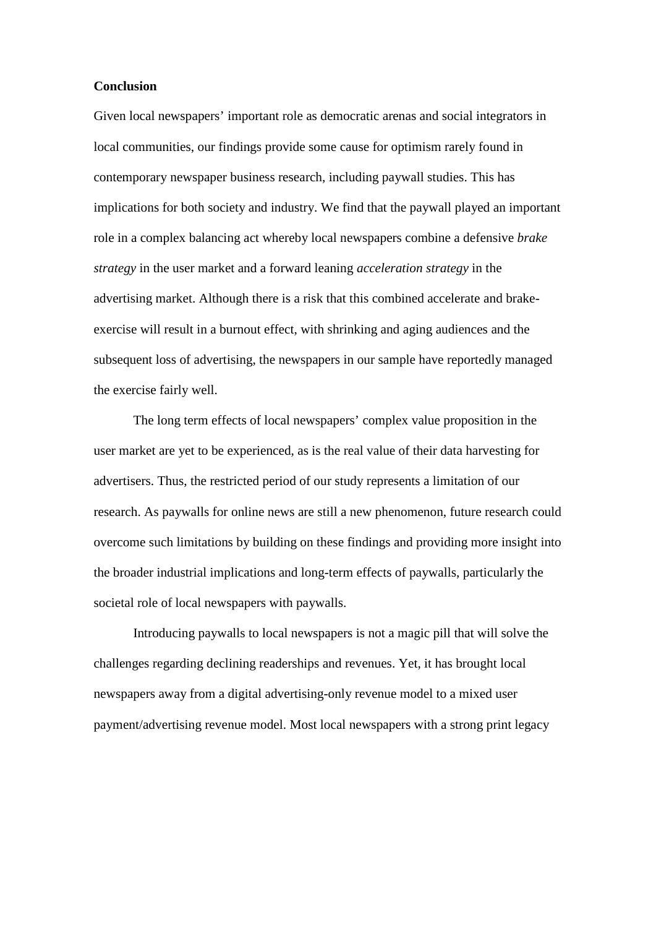#### **Conclusion**

Given local newspapers' important role as democratic arenas and social integrators in local communities, our findings provide some cause for optimism rarely found in contemporary newspaper business research, including paywall studies. This has implications for both society and industry. We find that the paywall played an important role in a complex balancing act whereby local newspapers combine a defensive *brake strategy* in the user market and a forward leaning *acceleration strategy* in the advertising market. Although there is a risk that this combined accelerate and brakeexercise will result in a burnout effect, with shrinking and aging audiences and the subsequent loss of advertising, the newspapers in our sample have reportedly managed the exercise fairly well.

The long term effects of local newspapers' complex value proposition in the user market are yet to be experienced, as is the real value of their data harvesting for advertisers. Thus, the restricted period of our study represents a limitation of our research. As paywalls for online news are still a new phenomenon, future research could overcome such limitations by building on these findings and providing more insight into the broader industrial implications and long-term effects of paywalls, particularly the societal role of local newspapers with paywalls.

Introducing paywalls to local newspapers is not a magic pill that will solve the challenges regarding declining readerships and revenues. Yet, it has brought local newspapers away from a digital advertising-only revenue model to a mixed user payment/advertising revenue model. Most local newspapers with a strong print legacy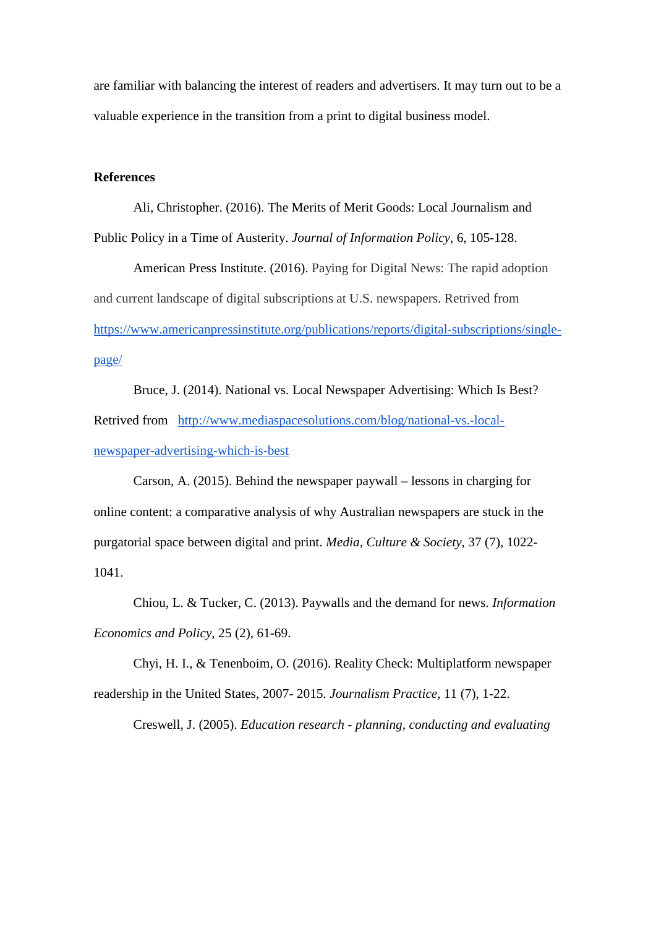are familiar with balancing the interest of readers and advertisers. It may turn out to be a valuable experience in the transition from a print to digital business model.

## **References**

Ali, Christopher. (2016). The Merits of Merit Goods: Local Journalism and Public Policy in a Time of Austerity. *Journal of Information Policy*, 6, 105-128.

American Press Institute. (2016). Paying for Digital News: The rapid adoption and current landscape of digital subscriptions at U.S. newspapers. Retrived from [https://www.americanpressinstitute.org/publications/reports/digital-subscriptions/single](https://www.americanpressinstitute.org/publications/reports/digital-subscriptions/single-page/)[page/](https://www.americanpressinstitute.org/publications/reports/digital-subscriptions/single-page/)

Bruce, J. (2014). National vs. Local Newspaper Advertising: Which Is Best? Retrived from [http://www.mediaspacesolutions.com/blog/national-vs.-local](http://www.mediaspacesolutions.com/blog/national-vs.-local-newspaper-advertising-which-is-best)[newspaper-advertising-which-is-best](http://www.mediaspacesolutions.com/blog/national-vs.-local-newspaper-advertising-which-is-best)

Carson, A. (2015). Behind the newspaper paywall – lessons in charging for online content: a comparative analysis of why Australian newspapers are stuck in the purgatorial space between digital and print. *Media, Culture & Society*, 37 (7), 1022- 1041.

Chiou, L. & Tucker, C. (2013). Paywalls and the demand for news. *Information Economics and Policy,* 25 (2), 61-69.

Chyi, H. I., & Tenenboim, O. (2016). Reality Check: Multiplatform newspaper readership in the United States, 2007- 2015. *Journalism Practice*, 11 (7), 1-22.

Creswell, J. (2005). *Education research - planning, conducting and evaluating*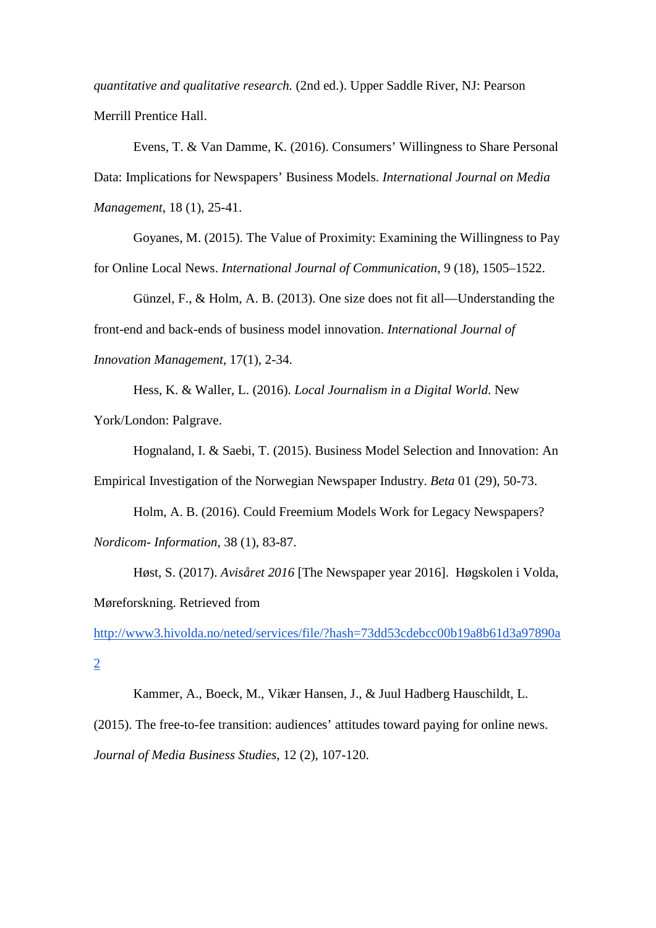*quantitative and qualitative research.* (2nd ed.). Upper Saddle River, NJ: Pearson Merrill Prentice Hall.

Evens, T. & Van Damme, K. (2016). Consumers' Willingness to Share Personal Data: Implications for Newspapers' Business Models. *International Journal on Media Management*, 18 (1), 25-41.

Goyanes, M. (2015). The Value of Proximity: Examining the Willingness to Pay for Online Local News. *International Journal of Communication*, 9 (18), 1505–1522.

Günzel, F., & Holm, A. B. (2013). One size does not fit all—Understanding the front-end and back-ends of business model innovation. *International Journal of Innovation Management*, 17(1), 2-34.

Hess, K. & Waller, L. (2016). *Local Journalism in a Digital World*. New York/London: Palgrave.

Hognaland, I. & Saebi, T. (2015). Business Model Selection and Innovation: An Empirical Investigation of the Norwegian Newspaper Industry. *Beta* 01 (29), 50-73.

Holm, A. B. (2016). Could Freemium Models Work for Legacy Newspapers? *Nordicom- Information*, 38 (1), 83-87.

Høst, S. (2017). *Avisåret 2016* [The Newspaper year 2016]. Høgskolen i Volda, Møreforskning. Retrieved from

[http://www3.hivolda.no/neted/services/file/?hash=73dd53cdebcc00b19a8b61d3a97890a](http://www3.hivolda.no/neted/services/file/?hash=73dd53cdebcc00b19a8b61d3a97890a2) [2](http://www3.hivolda.no/neted/services/file/?hash=73dd53cdebcc00b19a8b61d3a97890a2)

Kammer, A., Boeck, M., Vikær Hansen, J., & Juul Hadberg Hauschildt, L. (2015). The free-to-fee transition: audiences' attitudes toward paying for online news. *Journal of Media Business Studies*, 12 (2), 107-120.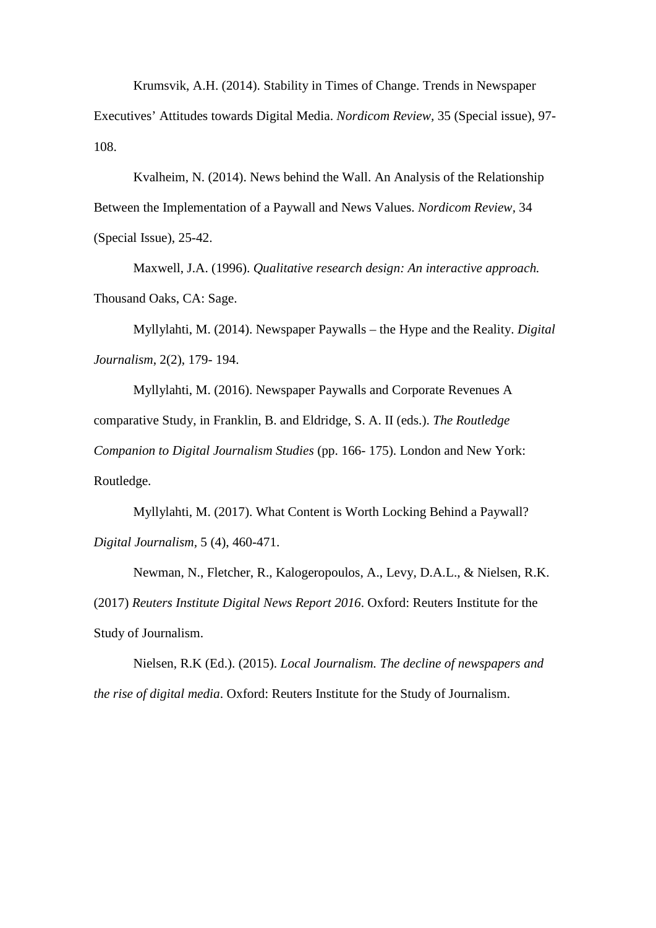Krumsvik, A.H. (2014). Stability in Times of Change. Trends in Newspaper Executives' Attitudes towards Digital Media. *Nordicom Review,* 35 (Special issue), 97- 108.

Kvalheim, N. (2014). News behind the Wall. An Analysis of the Relationship Between the Implementation of a Paywall and News Values. *Nordicom Review,* 34 (Special Issue), 25-42.

Maxwell, J.A. (1996). *Qualitative research design: An interactive approach.*  Thousand Oaks, CA: Sage.

Myllylahti, M. (2014). Newspaper Paywalls – the Hype and the Reality. *Digital Journalism*, 2(2), 179- 194.

Myllylahti, M. (2016). Newspaper Paywalls and Corporate Revenues A comparative Study, in Franklin, B. and Eldridge, S. A. II (eds.). *The Routledge Companion to Digital Journalism Studies* (pp. 166- 175). London and New York: Routledge.

Myllylahti, M. (2017). What Content is Worth Locking Behind a Paywall? *Digital Journalism,* 5 (4), 460-471.

Newman, N., Fletcher, R., Kalogeropoulos, A., Levy, D.A.L., & Nielsen, R.K. (2017) *Reuters Institute Digital News Report 2016*. Oxford: Reuters Institute for the Study of Journalism.

Nielsen, R.K (Ed.). (2015). *Local Journalism. The decline of newspapers and the rise of digital media*. Oxford: Reuters Institute for the Study of Journalism.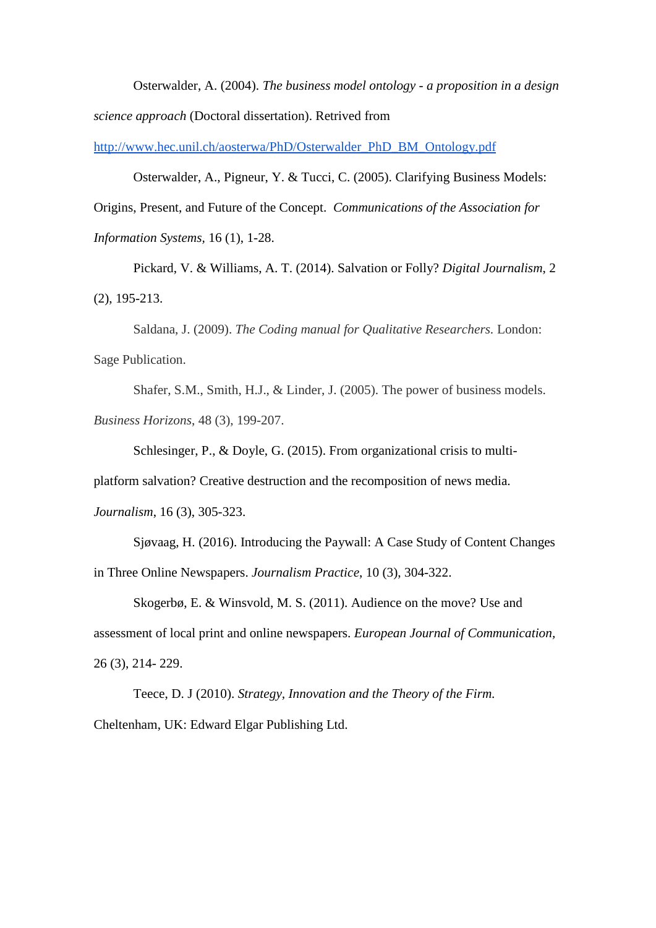Osterwalder, A. (2004). *The business model ontology - a proposition in a design science approach* (Doctoral dissertation). Retrived from

[http://www.hec.unil.ch/aosterwa/PhD/Osterwalder\\_PhD\\_BM\\_Ontology.pdf](http://www.hec.unil.ch/aosterwa/PhD/Osterwalder_PhD_BM_Ontology.pdf)

Osterwalder, A., Pigneur, Y. & Tucci, C. (2005). Clarifying Business Models: Origins, Present, and Future of the Concept. *Communications of the Association for Information Systems,* 16 (1), 1-28.

Pickard, V. & Williams, A. T. (2014). Salvation or Folly? *Digital Journalism*, 2 (2), 195-213.

Saldana, J. (2009). *The Coding manual for Qualitative Researchers.* London: Sage Publication.

Shafer, S.M., Smith, H.J., & Linder, J. (2005). The power of business models. *Business Horizons*, 48 (3), 199-207.

Schlesinger, P., & Doyle, G. (2015). From organizational crisis to multi-

platform salvation? Creative destruction and the recomposition of news media.

*Journalism*, 16 (3), 305-323.

Sjøvaag, H. (2016). Introducing the Paywall: A Case Study of Content Changes in Three Online Newspapers. *Journalism Practice*, 10 (3), 304-322.

Skogerbø, E. & Winsvold, M. S. (2011). Audience on the move? Use and assessment of local print and online newspapers. *European Journal of Communication,*  26 (3), 214- 229.

Teece, D. J (2010). *Strategy, Innovation and the Theory of the Firm.*  Cheltenham, UK: Edward Elgar Publishing Ltd.